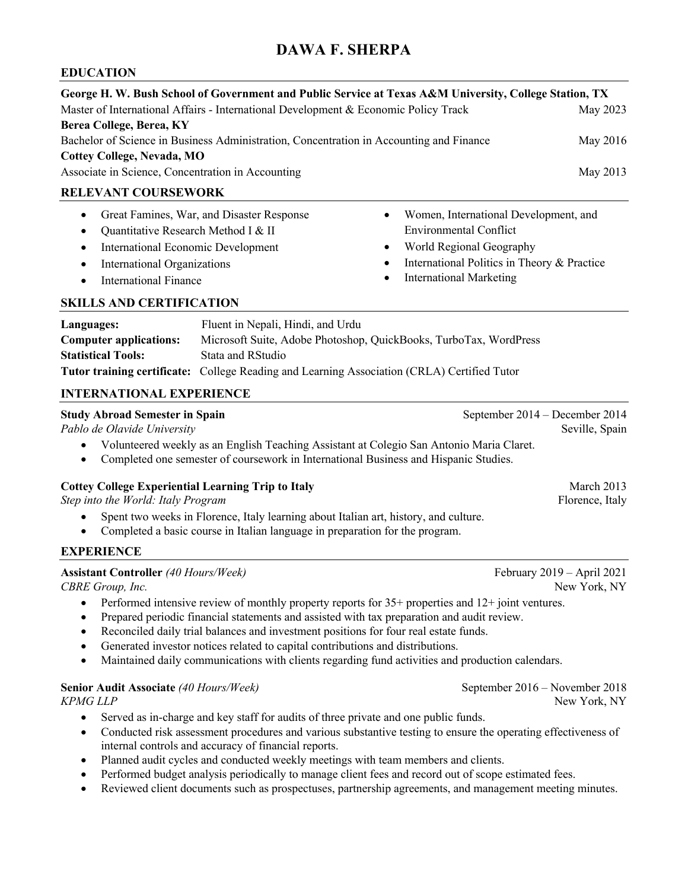# **DAWA F. SHERPA**

### **EDUCATION**

| George H. W. Bush School of Government and Public Service at Texas A&M University, College Station, TX<br>Master of International Affairs - International Development & Economic Policy Track<br>Berea College, Berea, KY<br>Bachelor of Science in Business Administration, Concentration in Accounting and Finance<br><b>Cottey College, Nevada, MO</b> |                                                                                                                                                                                                                                                                                                                                                                                                                                                                                                                                                                      |  | May 2023<br>May 2016                                                                        |                                                                                      |  |
|-----------------------------------------------------------------------------------------------------------------------------------------------------------------------------------------------------------------------------------------------------------------------------------------------------------------------------------------------------------|----------------------------------------------------------------------------------------------------------------------------------------------------------------------------------------------------------------------------------------------------------------------------------------------------------------------------------------------------------------------------------------------------------------------------------------------------------------------------------------------------------------------------------------------------------------------|--|---------------------------------------------------------------------------------------------|--------------------------------------------------------------------------------------|--|
| Associate in Science, Concentration in Accounting                                                                                                                                                                                                                                                                                                         |                                                                                                                                                                                                                                                                                                                                                                                                                                                                                                                                                                      |  |                                                                                             | May 2013                                                                             |  |
| <b>RELEVANT COURSEWORK</b>                                                                                                                                                                                                                                                                                                                                |                                                                                                                                                                                                                                                                                                                                                                                                                                                                                                                                                                      |  |                                                                                             |                                                                                      |  |
| Great Famines, War, and Disaster Response<br>$\bullet$<br>Quantitative Research Method I & II<br>$\bullet$<br><b>International Economic Development</b><br>$\bullet$<br>International Organizations<br>$\bullet$<br><b>International Finance</b><br>$\bullet$                                                                                             |                                                                                                                                                                                                                                                                                                                                                                                                                                                                                                                                                                      |  | <b>Environmental Conflict</b><br>World Regional Geography<br><b>International Marketing</b> | Women, International Development, and<br>International Politics in Theory & Practice |  |
| <b>SKILLS AND CERTIFICATION</b>                                                                                                                                                                                                                                                                                                                           |                                                                                                                                                                                                                                                                                                                                                                                                                                                                                                                                                                      |  |                                                                                             |                                                                                      |  |
| Languages:<br><b>Computer applications:</b><br><b>Statistical Tools:</b><br><b>INTERNATIONAL EXPERIENCE</b>                                                                                                                                                                                                                                               | Fluent in Nepali, Hindi, and Urdu<br>Microsoft Suite, Adobe Photoshop, QuickBooks, TurboTax, WordPress<br>Stata and RStudio<br>Tutor training certificate: College Reading and Learning Association (CRLA) Certified Tutor                                                                                                                                                                                                                                                                                                                                           |  |                                                                                             |                                                                                      |  |
| <b>Study Abroad Semester in Spain</b><br>September 2014 - December 2014                                                                                                                                                                                                                                                                                   |                                                                                                                                                                                                                                                                                                                                                                                                                                                                                                                                                                      |  |                                                                                             |                                                                                      |  |
| Pablo de Olavide University                                                                                                                                                                                                                                                                                                                               |                                                                                                                                                                                                                                                                                                                                                                                                                                                                                                                                                                      |  |                                                                                             | Seville, Spain                                                                       |  |
|                                                                                                                                                                                                                                                                                                                                                           | Volunteered weekly as an English Teaching Assistant at Colegio San Antonio Maria Claret.<br>Completed one semester of coursework in International Business and Hispanic Studies.                                                                                                                                                                                                                                                                                                                                                                                     |  |                                                                                             |                                                                                      |  |
| <b>Cottey College Experiential Learning Trip to Italy</b><br>Step into the World: Italy Program                                                                                                                                                                                                                                                           |                                                                                                                                                                                                                                                                                                                                                                                                                                                                                                                                                                      |  |                                                                                             | March 2013<br>Florence, Italy                                                        |  |
|                                                                                                                                                                                                                                                                                                                                                           | Spent two weeks in Florence, Italy learning about Italian art, history, and culture.<br>Completed a basic course in Italian language in preparation for the program.                                                                                                                                                                                                                                                                                                                                                                                                 |  |                                                                                             |                                                                                      |  |
| <b>EXPERIENCE</b>                                                                                                                                                                                                                                                                                                                                         |                                                                                                                                                                                                                                                                                                                                                                                                                                                                                                                                                                      |  |                                                                                             |                                                                                      |  |
| <b>Assistant Controller</b> (40 Hours/Week)<br>CBRE Group, Inc.                                                                                                                                                                                                                                                                                           |                                                                                                                                                                                                                                                                                                                                                                                                                                                                                                                                                                      |  |                                                                                             | February 2019 - April 2021<br>New York, NY                                           |  |
| $\bullet$<br>٠<br>$\bullet$<br>٠<br>$\bullet$                                                                                                                                                                                                                                                                                                             | Performed intensive review of monthly property reports for $35+$ properties and $12+$ joint ventures.<br>Prepared periodic financial statements and assisted with tax preparation and audit review.<br>Reconciled daily trial balances and investment positions for four real estate funds.<br>Generated investor notices related to capital contributions and distributions.<br>Maintained daily communications with clients regarding fund activities and production calendars.                                                                                    |  |                                                                                             |                                                                                      |  |
| Senior Audit Associate (40 Hours/Week)<br><b>KPMG LLP</b>                                                                                                                                                                                                                                                                                                 |                                                                                                                                                                                                                                                                                                                                                                                                                                                                                                                                                                      |  |                                                                                             | September 2016 – November 2018<br>New York, NY                                       |  |
| $\bullet$<br>$\bullet$<br>٠<br>$\bullet$<br>٠                                                                                                                                                                                                                                                                                                             | Served as in-charge and key staff for audits of three private and one public funds.<br>Conducted risk assessment procedures and various substantive testing to ensure the operating effectiveness of<br>internal controls and accuracy of financial reports.<br>Planned audit cycles and conducted weekly meetings with team members and clients.<br>Performed budget analysis periodically to manage client fees and record out of scope estimated fees.<br>Reviewed client documents such as prospectuses, partnership agreements, and management meeting minutes. |  |                                                                                             |                                                                                      |  |